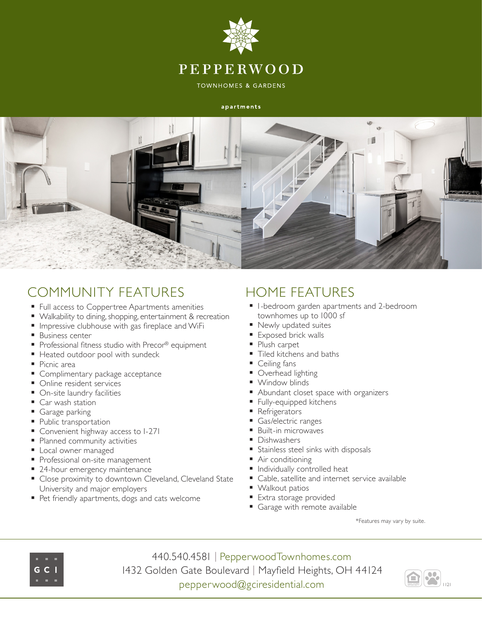

**TOWNHOMES & GARDENS** 

#### apartments



# COMMUNITY FEATURES

- **Full access to Coppertree Apartments amenities**
- Walkability to dining, shopping, entertainment & recreation
- **Impressive clubhouse with gas fireplace and WiFi**
- **Business center**
- Professional fitness studio with Precor® equipment
- Heated outdoor pool with sundeck
- Picnic area
- **Complimentary package acceptance**
- Online resident services
- On-site laundry facilities
- Car wash station
- Garage parking
- **Public transportation**
- **Convenient highway access to I-27I**
- **Planned community activities**
- **Local owner managed**
- Professional on-site management
- 24-hour emergency maintenance
- Close proximity to downtown Cleveland, Cleveland State University and major employers
- Pet friendly apartments, dogs and cats welcome

# HOME FEATURES

- **I** l-bedroom garden apartments and 2-bedroom townhomes up to 1000 sf
- Newly updated suites
- Exposed brick walls
- Plush carpet
- Tiled kitchens and baths
- Ceiling fans
- Overhead lighting
- Window blinds
- Abundant closet space with organizers
- Fully-equipped kitchens
- Refrigerators
- Gas/electric ranges
- Built-in microwaves
- **Dishwashers**
- Stainless steel sinks with disposals
- Air conditioning
- **Individually controlled heat**
- Cable, satellite and internet service available
- Walkout patios
- **Extra storage provided**
- Garage with remote available

\*Features may vary by suite.



440.540.4581 | PepperwoodTownhomes.com 1432 Golden Gate Boulevard | Mayfield Heights, OH 44124 pepperwood@gciresidential.com